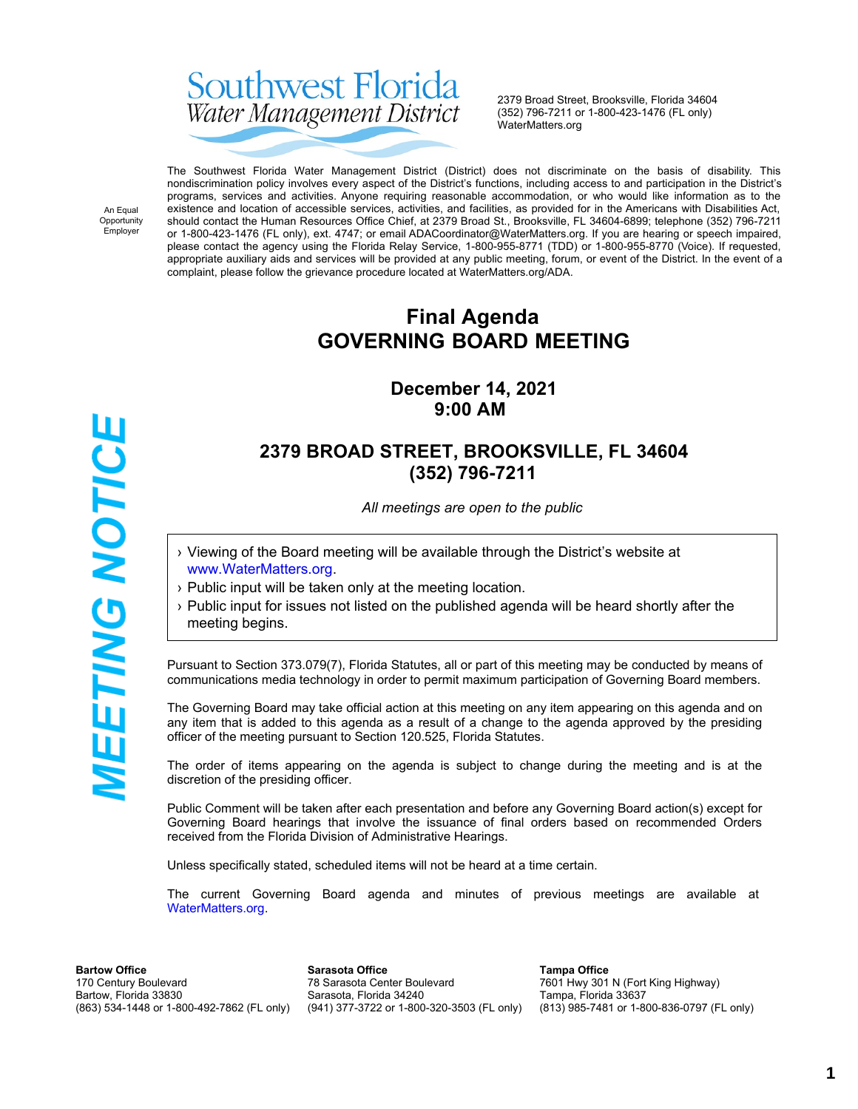# Southwest Florida Water Management District

2379 Broad Street, Brooksville, Florida 34604 (352) 796-7211 or 1-800-423-1476 (FL only) WaterMatters.org

An Equal Opportunity Employer

*MEETING NOTICE* 

The Southwest Florida Water Management District (District) does not discriminate on the basis of disability. This nondiscrimination policy involves every aspect of the District's functions, including access to and participation in the District's programs, services and activities. Anyone requiring reasonable accommodation, or who would like information as to the existence and location of accessible services, activities, and facilities, as provided for in the Americans with Disabilities Act, should contact the Human Resources Office Chief, at 2379 Broad St., Brooksville, FL 34604-6899; telephone (352) 796-7211 or 1-800-423-1476 (FL only), ext. 4747; or email ADACoordinator@WaterMatters.org. If you are hearing or speech impaired, please contact the agency using the Florida Relay Service, 1-800-955-8771 (TDD) or 1-800-955-8770 (Voice). If requested, appropriate auxiliary aids and services will be provided at any public meeting, forum, or event of the District. In the event of a complaint, please follow the grievance procedure located at WaterMatters.org/ADA.

# **Final Agenda GOVERNING BOARD MEETING**

# **December 14, 2021 9:00 AM**

# **2379 BROAD STREET, BROOKSVILLE, FL 34604 (352) 796-7211**

*All meetings are open to the public*

- › Viewing of the Board meeting will be available through the District's website at [www.WaterMatters.org](https://www.watermatters.org/).
- › Public input will be taken only at the meeting location.
- › Public input for issues not listed on the published agenda will be heard shortly after the meeting begins.

Pursuant to Section 373.079(7), Florida Statutes, all or part of this meeting may be conducted by means of communications media technology in order to permit maximum participation of Governing Board members.

The Governing Board may take official action at this meeting on any item appearing on this agenda and on any item that is added to this agenda as a result of a change to the agenda approved by the presiding officer of the meeting pursuant to Section 120.525, Florida Statutes.

The order of items appearing on the agenda is subject to change during the meeting and is at the discretion of the presiding officer.

Public Comment will be taken after each presentation and before any Governing Board action(s) except for Governing Board hearings that involve the issuance of final orders based on recommended Orders received from the Florida Division of Administrative Hearings.

Unless specifically stated, scheduled items will not be heard at a time certain.

The current Governing Board agenda and minutes of previous meetings are available at [WaterMatters.org](https://www.watermatters.org).

**Bartow Office** 170 Century Boulevard Bartow, Florida 33830 (863) 534-1448 or 1-800-492-7862 (FL only)

**Sarasota Office** 78 Sarasota Center Boulevard Sarasota, Florida 34240 (941) 377-3722 or 1-800-320-3503 (FL only)

**Tampa Office** 7601 Hwy 301 N (Fort King Highway) Tampa, Florida 33637 (813) 985-7481 or 1-800-836-0797 (FL only)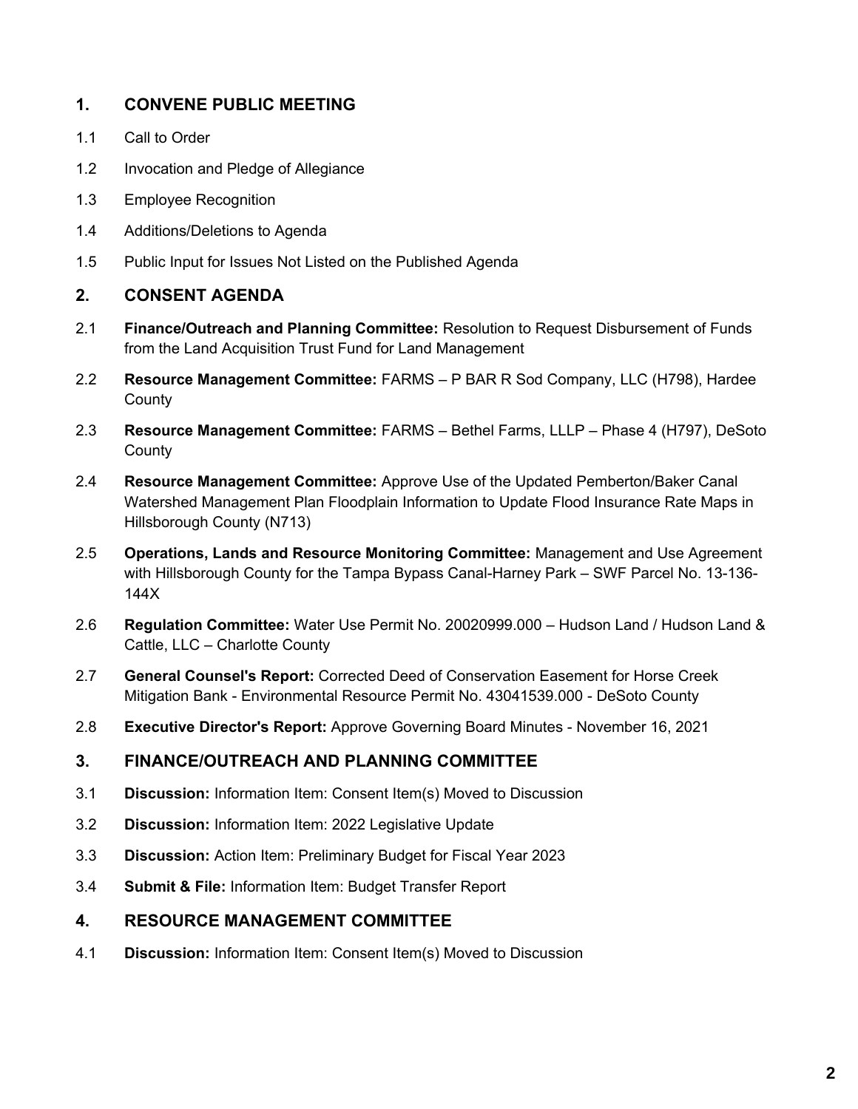### **1. CONVENE PUBLIC MEETING**

- 1.1 Call to Order
- 1.2 Invocation and Pledge of Allegiance
- 1.3 Employee Recognition
- 1.4 Additions/Deletions to Agenda
- 1.5 Public Input for Issues Not Listed on the Published Agenda

#### **2. CONSENT AGENDA**

- 2.1 **Finance/Outreach and Planning Committee:** Resolution to Request Disbursement of Funds from the Land Acquisition Trust Fund for Land Management
- 2.2 **Resource Management Committee:** FARMS P BAR R Sod Company, LLC (H798), Hardee **County**
- 2.3 **Resource Management Committee:** FARMS Bethel Farms, LLLP Phase 4 (H797), DeSoto **County**
- 2.4 **Resource Management Committee:** Approve Use of the Updated Pemberton/Baker Canal Watershed Management Plan Floodplain Information to Update Flood Insurance Rate Maps in Hillsborough County (N713)
- 2.5 **Operations, Lands and Resource Monitoring Committee:** Management and Use Agreement with Hillsborough County for the Tampa Bypass Canal-Harney Park – SWF Parcel No. 13-136- 144X
- 2.6 **Regulation Committee:** Water Use Permit No. 20020999.000 Hudson Land / Hudson Land & Cattle, LLC – Charlotte County
- 2.7 **General Counsel's Report:** Corrected Deed of Conservation Easement for Horse Creek Mitigation Bank - Environmental Resource Permit No. 43041539.000 - DeSoto County
- 2.8 **Executive Director's Report:** Approve Governing Board Minutes November 16, 2021

#### **3. FINANCE/OUTREACH AND PLANNING COMMITTEE**

- 3.1 **Discussion:** Information Item: Consent Item(s) Moved to Discussion
- 3.2 **Discussion:** Information Item: 2022 Legislative Update
- 3.3 **Discussion:** Action Item: Preliminary Budget for Fiscal Year 2023
- 3.4 **Submit & File:** Information Item: Budget Transfer Report

#### **4. RESOURCE MANAGEMENT COMMITTEE**

4.1 **Discussion:** Information Item: Consent Item(s) Moved to Discussion